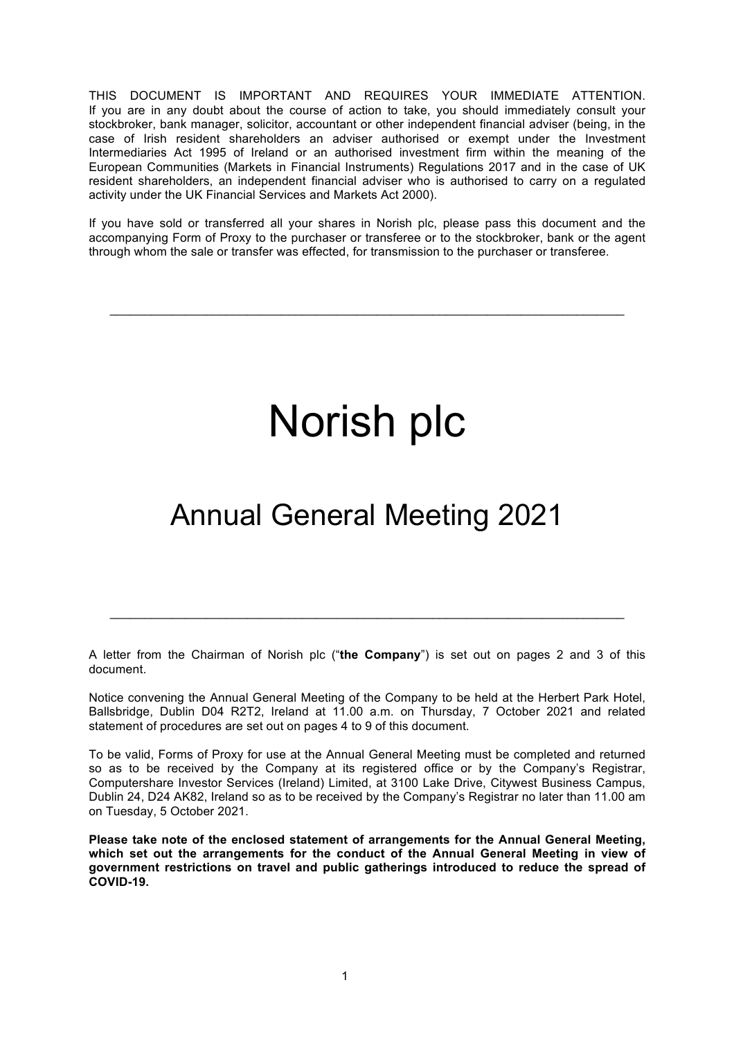THIS DOCUMENT IS IMPORTANT AND REQUIRES YOUR IMMEDIATE ATTENTION. If you are in any doubt about the course of action to take, you should immediately consult your stockbroker, bank manager, solicitor, accountant or other independent financial adviser (being, in the case of Irish resident shareholders an adviser authorised or exempt under the Investment Intermediaries Act 1995 of Ireland or an authorised investment firm within the meaning of the European Communities (Markets in Financial Instruments) Regulations 2017 and in the case of UK resident shareholders, an independent financial adviser who is authorised to carry on a regulated activity under the UK Financial Services and Markets Act 2000).

If you have sold or transferred all your shares in Norish plc, please pass this document and the accompanying Form of Proxy to the purchaser or transferee or to the stockbroker, bank or the agent through whom the sale or transfer was effected, for transmission to the purchaser or transferee.

 $\_$  , and the set of the set of the set of the set of the set of the set of the set of the set of the set of the set of the set of the set of the set of the set of the set of the set of the set of the set of the set of th

# Norish plc

## Annual General Meeting 2021

A letter from the Chairman of Norish plc ("**the Company**") is set out on pages 2 and 3 of this document.

 $\_$  , and the set of the set of the set of the set of the set of the set of the set of the set of the set of the set of the set of the set of the set of the set of the set of the set of the set of the set of the set of th

Notice convening the Annual General Meeting of the Company to be held at the Herbert Park Hotel, Ballsbridge, Dublin D04 R2T2, Ireland at 11.00 a.m. on Thursday, 7 October 2021 and related statement of procedures are set out on pages 4 to 9 of this document.

To be valid, Forms of Proxy for use at the Annual General Meeting must be completed and returned so as to be received by the Company at its registered office or by the Company's Registrar, Computershare Investor Services (Ireland) Limited, at 3100 Lake Drive, Citywest Business Campus, Dublin 24, D24 AK82, Ireland so as to be received by the Company's Registrar no later than 11.00 am on Tuesday, 5 October 2021.

**Please take note of the enclosed statement of arrangements for the Annual General Meeting, which set out the arrangements for the conduct of the Annual General Meeting in view of government restrictions on travel and public gatherings introduced to reduce the spread of COVID-19.**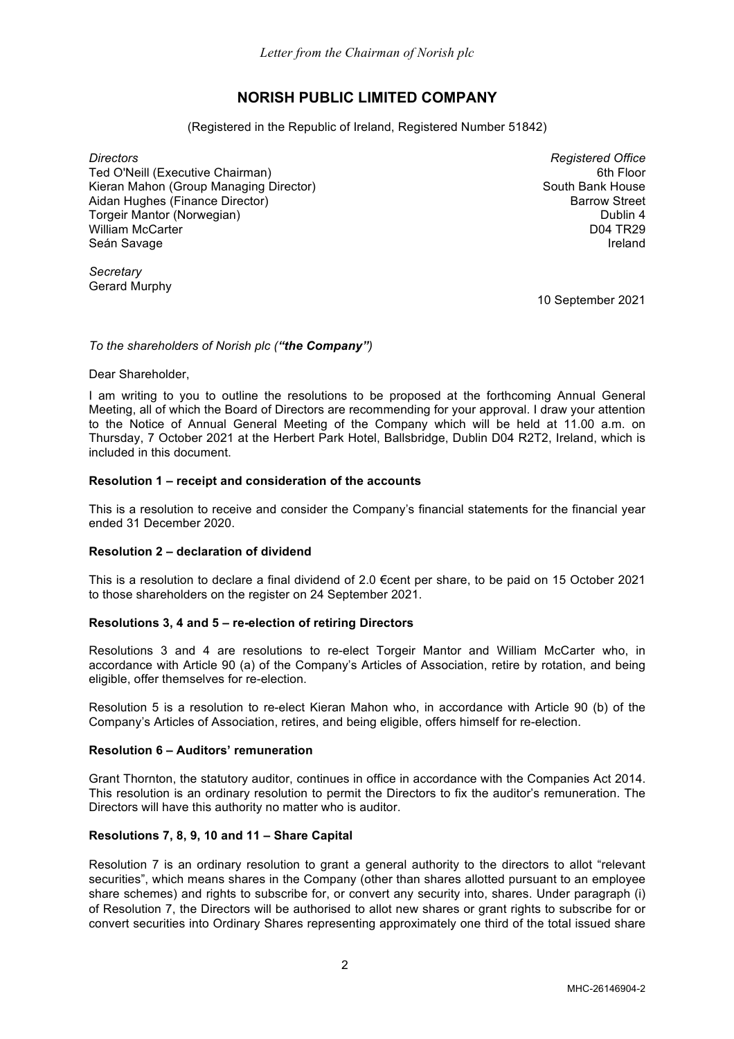### **NORISH PUBLIC LIMITED COMPANY**

(Registered in the Republic of Ireland, Registered Number 51842)

*Directors* Ted O'Neill (Executive Chairman) Kieran Mahon (Group Managing Director) Aidan Hughes (Finance Director) Torgeir Mantor (Norwegian) William McCarter Seán Savage

*Registered Office* 6th Floor South Bank House Barrow Street Dublin 4 D04 TR29 Ireland

*Secretary* Gerard Murphy

10 September 2021

#### *To the shareholders of Norish plc ("the Company")*

Dear Shareholder,

I am writing to you to outline the resolutions to be proposed at the forthcoming Annual General Meeting, all of which the Board of Directors are recommending for your approval. I draw your attention to the Notice of Annual General Meeting of the Company which will be held at 11.00 a.m. on Thursday, 7 October 2021 at the Herbert Park Hotel, Ballsbridge, Dublin D04 R2T2, Ireland, which is included in this document.

#### **Resolution 1 – receipt and consideration of the accounts**

This is a resolution to receive and consider the Company's financial statements for the financial year ended 31 December 2020.

#### **Resolution 2 – declaration of dividend**

This is a resolution to declare a final dividend of 2.0 €cent per share, to be paid on 15 October 2021 to those shareholders on the register on 24 September 2021.

#### **Resolutions 3, 4 and 5 – re-election of retiring Directors**

Resolutions 3 and 4 are resolutions to re-elect Torgeir Mantor and William McCarter who, in accordance with Article 90 (a) of the Company's Articles of Association, retire by rotation, and being eligible, offer themselves for re-election.

Resolution 5 is a resolution to re-elect Kieran Mahon who, in accordance with Article 90 (b) of the Company's Articles of Association, retires, and being eligible, offers himself for re-election.

#### **Resolution 6 – Auditors' remuneration**

Grant Thornton, the statutory auditor, continues in office in accordance with the Companies Act 2014. This resolution is an ordinary resolution to permit the Directors to fix the auditor's remuneration. The Directors will have this authority no matter who is auditor.

#### **Resolutions 7, 8, 9, 10 and 11 – Share Capital**

Resolution 7 is an ordinary resolution to grant a general authority to the directors to allot "relevant securities", which means shares in the Company (other than shares allotted pursuant to an employee share schemes) and rights to subscribe for, or convert any security into, shares. Under paragraph (i) of Resolution 7, the Directors will be authorised to allot new shares or grant rights to subscribe for or convert securities into Ordinary Shares representing approximately one third of the total issued share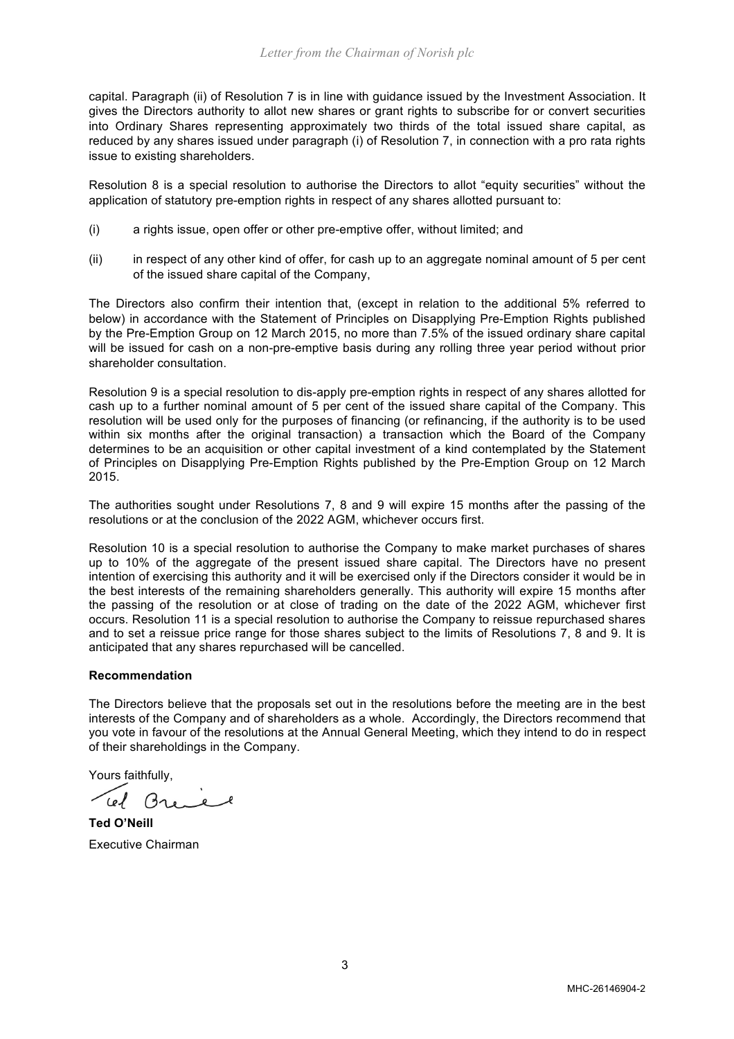capital. Paragraph (ii) of Resolution 7 is in line with guidance issued by the Investment Association. It gives the Directors authority to allot new shares or grant rights to subscribe for or convert securities into Ordinary Shares representing approximately two thirds of the total issued share capital, as reduced by any shares issued under paragraph (i) of Resolution 7, in connection with a pro rata rights issue to existing shareholders.

Resolution 8 is a special resolution to authorise the Directors to allot "equity securities" without the application of statutory pre-emption rights in respect of any shares allotted pursuant to:

- (i) a rights issue, open offer or other pre-emptive offer, without limited; and
- (ii) in respect of any other kind of offer, for cash up to an aggregate nominal amount of 5 per cent of the issued share capital of the Company,

The Directors also confirm their intention that, (except in relation to the additional 5% referred to below) in accordance with the Statement of Principles on Disapplying Pre-Emption Rights published by the Pre-Emption Group on 12 March 2015, no more than 7.5% of the issued ordinary share capital will be issued for cash on a non-pre-emptive basis during any rolling three year period without prior shareholder consultation.

Resolution 9 is a special resolution to dis-apply pre-emption rights in respect of any shares allotted for cash up to a further nominal amount of 5 per cent of the issued share capital of the Company. This resolution will be used only for the purposes of financing (or refinancing, if the authority is to be used within six months after the original transaction) a transaction which the Board of the Company determines to be an acquisition or other capital investment of a kind contemplated by the Statement of Principles on Disapplying Pre-Emption Rights published by the Pre-Emption Group on 12 March 2015.

The authorities sought under Resolutions 7, 8 and 9 will expire 15 months after the passing of the resolutions or at the conclusion of the 2022 AGM, whichever occurs first.

Resolution 10 is a special resolution to authorise the Company to make market purchases of shares up to 10% of the aggregate of the present issued share capital. The Directors have no present intention of exercising this authority and it will be exercised only if the Directors consider it would be in the best interests of the remaining shareholders generally. This authority will expire 15 months after the passing of the resolution or at close of trading on the date of the 2022 AGM, whichever first occurs. Resolution 11 is a special resolution to authorise the Company to reissue repurchased shares and to set a reissue price range for those shares subject to the limits of Resolutions 7, 8 and 9. It is anticipated that any shares repurchased will be cancelled.

#### **Recommendation**

The Directors believe that the proposals set out in the resolutions before the meeting are in the best interests of the Company and of shareholders as a whole. Accordingly, the Directors recommend that you vote in favour of the resolutions at the Annual General Meeting, which they intend to do in respect of their shareholdings in the Company.

Yours faithfully,

**Ted O'Neill** Executive Chairman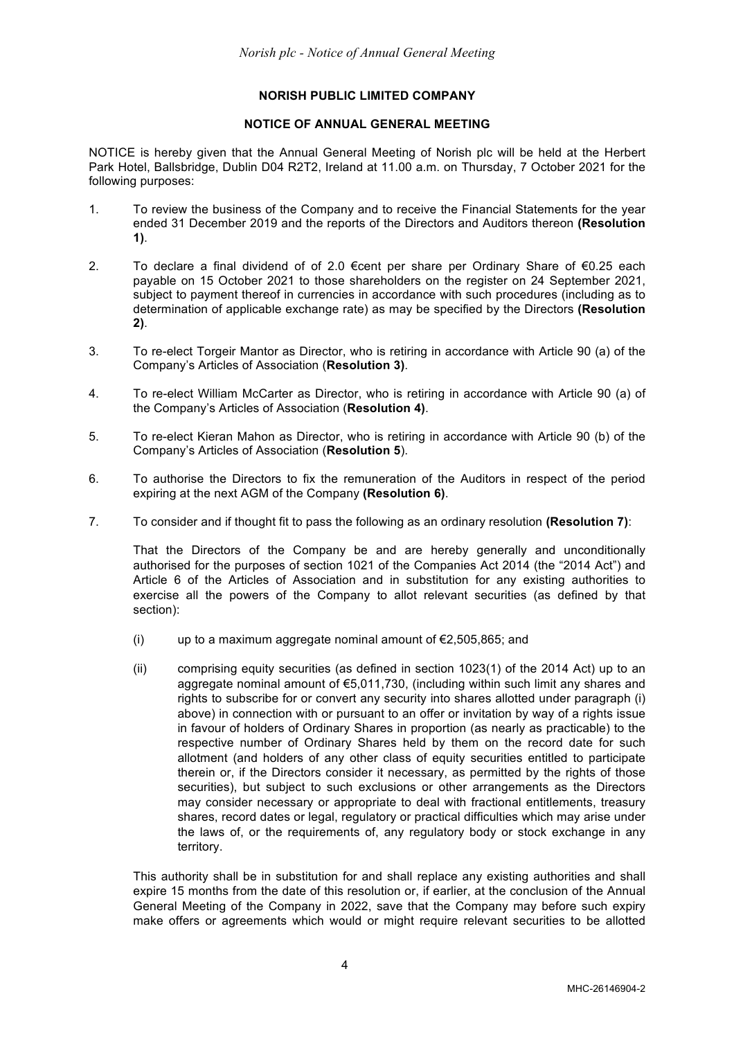#### **NORISH PUBLIC LIMITED COMPANY**

#### **NOTICE OF ANNUAL GENERAL MEETING**

NOTICE is hereby given that the Annual General Meeting of Norish plc will be held at the Herbert Park Hotel, Ballsbridge, Dublin D04 R2T2, Ireland at 11.00 a.m. on Thursday, 7 October 2021 for the following purposes:

- 1. To review the business of the Company and to receive the Financial Statements for the year ended 31 December 2019 and the reports of the Directors and Auditors thereon **(Resolution 1)**.
- 2. To declare a final dividend of of 2.0 €cent per share per Ordinary Share of €0.25 each payable on 15 October 2021 to those shareholders on the register on 24 September 2021, subject to payment thereof in currencies in accordance with such procedures (including as to determination of applicable exchange rate) as may be specified by the Directors **(Resolution 2)**.
- 3. To re-elect Torgeir Mantor as Director, who is retiring in accordance with Article 90 (a) of the Company's Articles of Association (**Resolution 3)**.
- 4. To re-elect William McCarter as Director, who is retiring in accordance with Article 90 (a) of the Company's Articles of Association (**Resolution 4)**.
- 5. To re-elect Kieran Mahon as Director, who is retiring in accordance with Article 90 (b) of the Company's Articles of Association (**Resolution 5**).
- 6. To authorise the Directors to fix the remuneration of the Auditors in respect of the period expiring at the next AGM of the Company **(Resolution 6)**.
- 7. To consider and if thought fit to pass the following as an ordinary resolution **(Resolution 7)**:

That the Directors of the Company be and are hereby generally and unconditionally authorised for the purposes of section 1021 of the Companies Act 2014 (the "2014 Act") and Article 6 of the Articles of Association and in substitution for any existing authorities to exercise all the powers of the Company to allot relevant securities (as defined by that section):

- (i) up to a maximum aggregate nominal amount of  $\epsilon$ 2,505,865; and
- (ii) comprising equity securities (as defined in section 1023(1) of the 2014 Act) up to an aggregate nominal amount of €5,011,730, (including within such limit any shares and rights to subscribe for or convert any security into shares allotted under paragraph (i) above) in connection with or pursuant to an offer or invitation by way of a rights issue in favour of holders of Ordinary Shares in proportion (as nearly as practicable) to the respective number of Ordinary Shares held by them on the record date for such allotment (and holders of any other class of equity securities entitled to participate therein or, if the Directors consider it necessary, as permitted by the rights of those securities), but subject to such exclusions or other arrangements as the Directors may consider necessary or appropriate to deal with fractional entitlements, treasury shares, record dates or legal, regulatory or practical difficulties which may arise under the laws of, or the requirements of, any regulatory body or stock exchange in any territory.

This authority shall be in substitution for and shall replace any existing authorities and shall expire 15 months from the date of this resolution or, if earlier, at the conclusion of the Annual General Meeting of the Company in 2022, save that the Company may before such expiry make offers or agreements which would or might require relevant securities to be allotted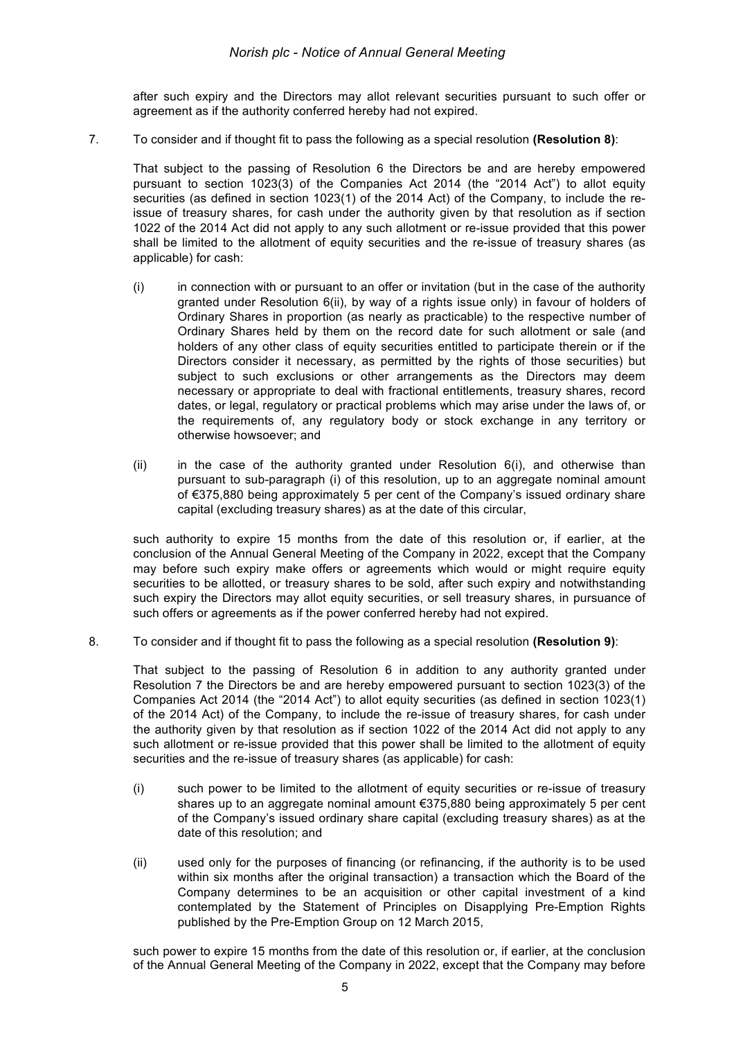#### *Norish plc - Notice of Annual General Meeting*

after such expiry and the Directors may allot relevant securities pursuant to such offer or agreement as if the authority conferred hereby had not expired.

7. To consider and if thought fit to pass the following as a special resolution **(Resolution 8)**:

That subject to the passing of Resolution 6 the Directors be and are hereby empowered pursuant to section 1023(3) of the Companies Act 2014 (the "2014 Act") to allot equity securities (as defined in section 1023(1) of the 2014 Act) of the Company, to include the reissue of treasury shares, for cash under the authority given by that resolution as if section 1022 of the 2014 Act did not apply to any such allotment or re-issue provided that this power shall be limited to the allotment of equity securities and the re-issue of treasury shares (as applicable) for cash:

- (i) in connection with or pursuant to an offer or invitation (but in the case of the authority granted under Resolution 6(ii), by way of a rights issue only) in favour of holders of Ordinary Shares in proportion (as nearly as practicable) to the respective number of Ordinary Shares held by them on the record date for such allotment or sale (and holders of any other class of equity securities entitled to participate therein or if the Directors consider it necessary, as permitted by the rights of those securities) but subject to such exclusions or other arrangements as the Directors may deem necessary or appropriate to deal with fractional entitlements, treasury shares, record dates, or legal, regulatory or practical problems which may arise under the laws of, or the requirements of, any regulatory body or stock exchange in any territory or otherwise howsoever; and
- $(ii)$  in the case of the authority granted under Resolution  $6(i)$ , and otherwise than pursuant to sub-paragraph (i) of this resolution, up to an aggregate nominal amount of €375,880 being approximately 5 per cent of the Company's issued ordinary share capital (excluding treasury shares) as at the date of this circular,

such authority to expire 15 months from the date of this resolution or, if earlier, at the conclusion of the Annual General Meeting of the Company in 2022, except that the Company may before such expiry make offers or agreements which would or might require equity securities to be allotted, or treasury shares to be sold, after such expiry and notwithstanding such expiry the Directors may allot equity securities, or sell treasury shares, in pursuance of such offers or agreements as if the power conferred hereby had not expired.

8. To consider and if thought fit to pass the following as a special resolution **(Resolution 9)**:

That subject to the passing of Resolution 6 in addition to any authority granted under Resolution 7 the Directors be and are hereby empowered pursuant to section 1023(3) of the Companies Act 2014 (the "2014 Act") to allot equity securities (as defined in section 1023(1) of the 2014 Act) of the Company, to include the re-issue of treasury shares, for cash under the authority given by that resolution as if section 1022 of the 2014 Act did not apply to any such allotment or re-issue provided that this power shall be limited to the allotment of equity securities and the re-issue of treasury shares (as applicable) for cash:

- (i) such power to be limited to the allotment of equity securities or re-issue of treasury shares up to an aggregate nominal amount €375,880 being approximately 5 per cent of the Company's issued ordinary share capital (excluding treasury shares) as at the date of this resolution; and
- (ii) used only for the purposes of financing (or refinancing, if the authority is to be used within six months after the original transaction) a transaction which the Board of the Company determines to be an acquisition or other capital investment of a kind contemplated by the Statement of Principles on Disapplying Pre-Emption Rights published by the Pre-Emption Group on 12 March 2015,

such power to expire 15 months from the date of this resolution or, if earlier, at the conclusion of the Annual General Meeting of the Company in 2022, except that the Company may before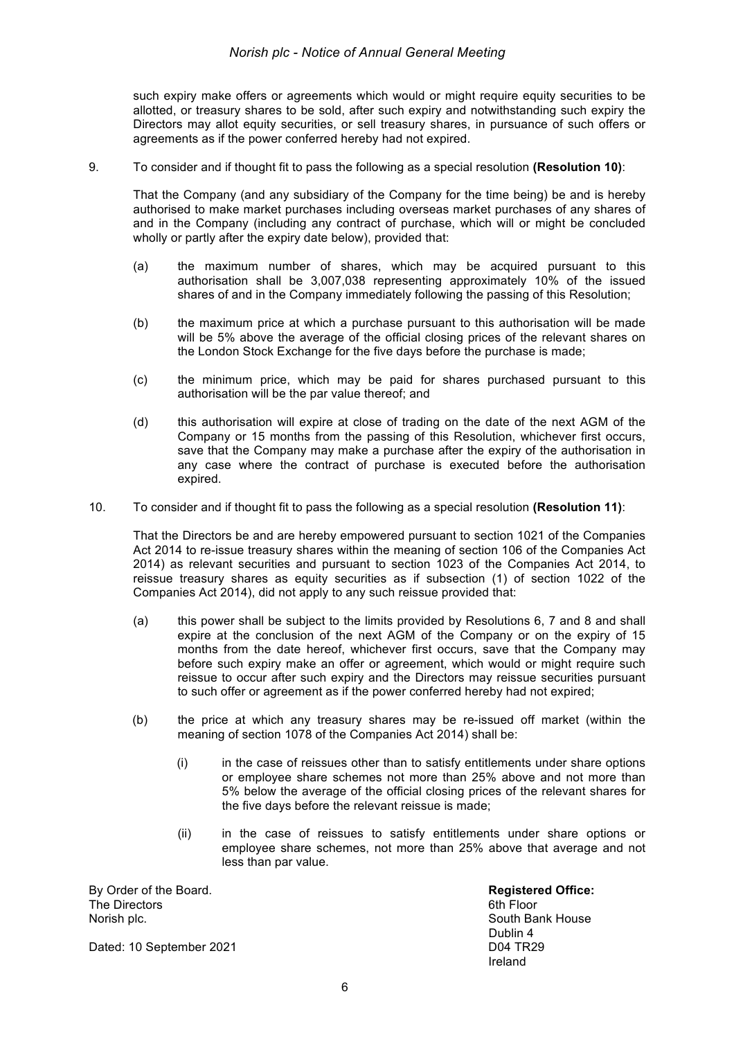such expiry make offers or agreements which would or might require equity securities to be allotted, or treasury shares to be sold, after such expiry and notwithstanding such expiry the Directors may allot equity securities, or sell treasury shares, in pursuance of such offers or agreements as if the power conferred hereby had not expired.

9. To consider and if thought fit to pass the following as a special resolution **(Resolution 10)**:

That the Company (and any subsidiary of the Company for the time being) be and is hereby authorised to make market purchases including overseas market purchases of any shares of and in the Company (including any contract of purchase, which will or might be concluded wholly or partly after the expiry date below), provided that:

- (a) the maximum number of shares, which may be acquired pursuant to this authorisation shall be 3,007,038 representing approximately 10% of the issued shares of and in the Company immediately following the passing of this Resolution;
- (b) the maximum price at which a purchase pursuant to this authorisation will be made will be 5% above the average of the official closing prices of the relevant shares on the London Stock Exchange for the five days before the purchase is made;
- (c) the minimum price, which may be paid for shares purchased pursuant to this authorisation will be the par value thereof; and
- (d) this authorisation will expire at close of trading on the date of the next AGM of the Company or 15 months from the passing of this Resolution, whichever first occurs, save that the Company may make a purchase after the expiry of the authorisation in any case where the contract of purchase is executed before the authorisation expired.
- 10. To consider and if thought fit to pass the following as a special resolution **(Resolution 11)**:

That the Directors be and are hereby empowered pursuant to section 1021 of the Companies Act 2014 to re-issue treasury shares within the meaning of section 106 of the Companies Act 2014) as relevant securities and pursuant to section 1023 of the Companies Act 2014, to reissue treasury shares as equity securities as if subsection (1) of section 1022 of the Companies Act 2014), did not apply to any such reissue provided that:

- (a) this power shall be subject to the limits provided by Resolutions 6, 7 and 8 and shall expire at the conclusion of the next AGM of the Company or on the expiry of 15 months from the date hereof, whichever first occurs, save that the Company may before such expiry make an offer or agreement, which would or might require such reissue to occur after such expiry and the Directors may reissue securities pursuant to such offer or agreement as if the power conferred hereby had not expired;
- (b) the price at which any treasury shares may be re-issued off market (within the meaning of section 1078 of the Companies Act 2014) shall be:
	- (i) in the case of reissues other than to satisfy entitlements under share options or employee share schemes not more than 25% above and not more than 5% below the average of the official closing prices of the relevant shares for the five days before the relevant reissue is made;
	- (ii) in the case of reissues to satisfy entitlements under share options or employee share schemes, not more than 25% above that average and not less than par value.

By Order of the Board. **Registered Office:** The Directors 6th Floor Norish plc. South Bank House and South Bank House and South Bank House and South Bank House and South Bank House

Dated: 10 September 2021 D04 TR29

 Dublin 4 Ireland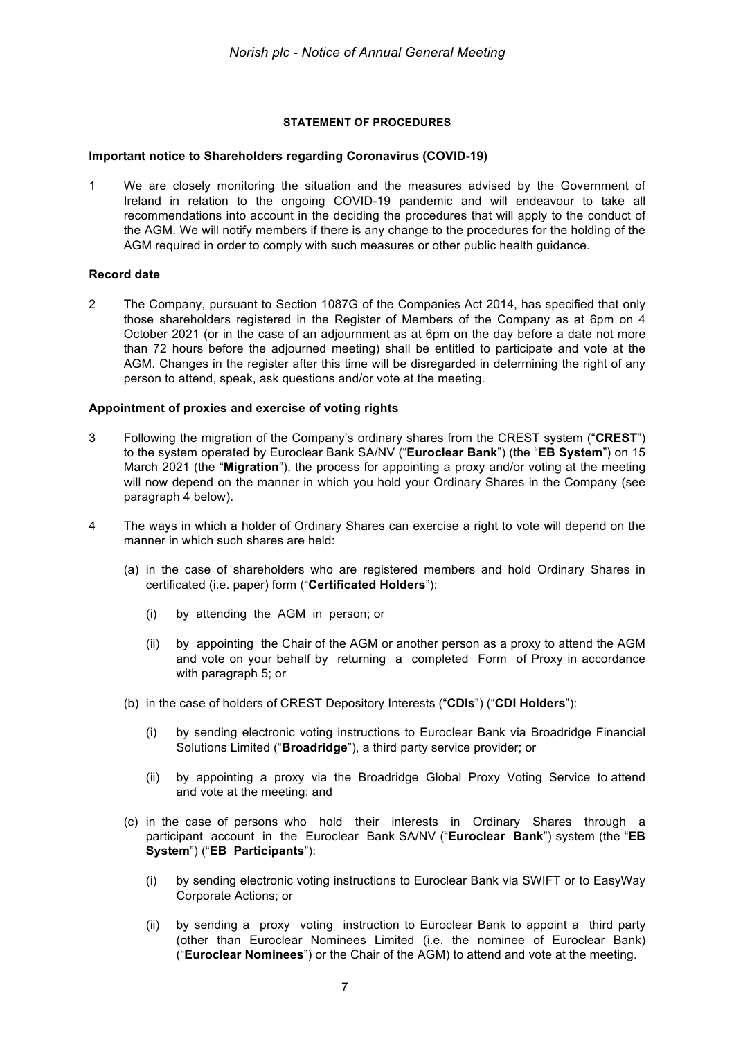#### **STATEMENT OF PROCEDURES**

#### **Important notice to Shareholders regarding Coronavirus (COVID-19)**

1 We are closely monitoring the situation and the measures advised by the Government of Ireland in relation to the ongoing COVID-19 pandemic and will endeavour to take all recommendations into account in the deciding the procedures that will apply to the conduct of the AGM. We will notify members if there is any change to the procedures for the holding of the AGM required in order to comply with such measures or other public health guidance.

#### **Record date**

2 The Company, pursuant to Section 1087G of the Companies Act 2014, has specified that only those shareholders registered in the Register of Members of the Company as at 6pm on 4 October 2021 (or in the case of an adjournment as at 6pm on the day before a date not more than 72 hours before the adjourned meeting) shall be entitled to participate and vote at the AGM. Changes in the register after this time will be disregarded in determining the right of any person to attend, speak, ask questions and/or vote at the meeting.

#### **Appointment of proxies and exercise of voting rights**

- 3 Following the migration of the Company's ordinary shares from the CREST system ("**CREST**") to the system operated by Euroclear Bank SA/NV ("**Euroclear Bank**") (the "**EB System**") on 15 March 2021 (the "**Migration**"), the process for appointing a proxy and/or voting at the meeting will now depend on the manner in which you hold your Ordinary Shares in the Company (see paragraph 4 below).
- 4 The ways in which a holder of Ordinary Shares can exercise a right to vote will depend on the manner in which such shares are held:
	- (a) in the case of shareholders who are registered members and hold Ordinary Shares in certificated (i.e. paper) form ("**Certificated Holders**"):
		- (i) by attending the AGM in person; or
		- (ii) by appointing the Chair of the AGM or another person as a proxy to attend the AGM and vote on your behalf by returning a completed Form of Proxy in accordance with paragraph 5; or
	- (b) in the case of holders of CREST Depository Interests ("**CDIs**") ("**CDI Holders**"):
		- (i) by sending electronic voting instructions to Euroclear Bank via Broadridge Financial Solutions Limited ("**Broadridge**"), a third party service provider; or
		- (ii) by appointing a proxy via the Broadridge Global Proxy Voting Service to attend and vote at the meeting; and
	- (c) in the case of persons who hold their interests in Ordinary Shares through a participant account in the Euroclear Bank SA/NV ("**Euroclear Bank**") system (the "**EB System**") ("**EB Participants**"):
		- (i) by sending electronic voting instructions to Euroclear Bank via SWIFT or to EasyWay Corporate Actions; or
		- (ii) by sending a proxy voting instruction to Euroclear Bank to appoint a third party (other than Euroclear Nominees Limited (i.e. the nominee of Euroclear Bank) ("**Euroclear Nominees**") or the Chair of the AGM) to attend and vote at the meeting.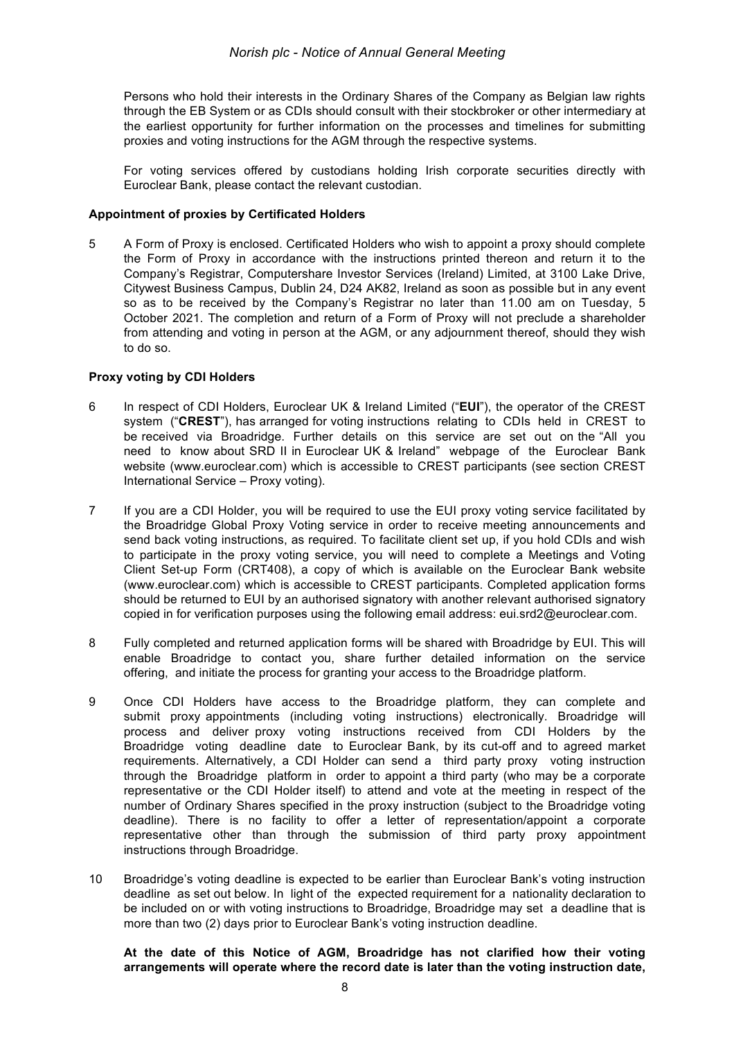Persons who hold their interests in the Ordinary Shares of the Company as Belgian law rights through the EB System or as CDIs should consult with their stockbroker or other intermediary at the earliest opportunity for further information on the processes and timelines for submitting proxies and voting instructions for the AGM through the respective systems.

For voting services offered by custodians holding Irish corporate securities directly with Euroclear Bank, please contact the relevant custodian.

#### **Appointment of proxies by Certificated Holders**

5 A Form of Proxy is enclosed. Certificated Holders who wish to appoint a proxy should complete the Form of Proxy in accordance with the instructions printed thereon and return it to the Company's Registrar, Computershare Investor Services (Ireland) Limited, at 3100 Lake Drive, Citywest Business Campus, Dublin 24, D24 AK82, Ireland as soon as possible but in any event so as to be received by the Company's Registrar no later than 11.00 am on Tuesday, 5 October 2021. The completion and return of a Form of Proxy will not preclude a shareholder from attending and voting in person at the AGM, or any adjournment thereof, should they wish to do so.

#### **Proxy voting by CDI Holders**

- 6 In respect of CDI Holders, Euroclear UK & Ireland Limited ("**EUI**"), the operator of the CREST system ("**CREST**"), has arranged for voting instructions relating to CDIs held in CREST to be received via Broadridge. Further details on this service are set out on the "All you need to know about SRD II in Euroclear UK & Ireland" webpage of the Euroclear Bank website (www.euroclear.com) which is accessible to CREST participants (see section CREST International Service – Proxy voting).
- 7 If you are a CDI Holder, you will be required to use the EUI proxy voting service facilitated by the Broadridge Global Proxy Voting service in order to receive meeting announcements and send back voting instructions, as required. To facilitate client set up, if you hold CDIs and wish to participate in the proxy voting service, you will need to complete a Meetings and Voting Client Set-up Form (CRT408), a copy of which is available on the Euroclear Bank website (www.euroclear.com) which is accessible to CREST participants. Completed application forms should be returned to EUI by an authorised signatory with another relevant authorised signatory copied in for verification purposes using the following email address: eui.srd2@euroclear.com.
- 8 Fully completed and returned application forms will be shared with Broadridge by EUI. This will enable Broadridge to contact you, share further detailed information on the service offering, and initiate the process for granting your access to the Broadridge platform.
- 9 Once CDI Holders have access to the Broadridge platform, they can complete and submit proxy appointments (including voting instructions) electronically. Broadridge will process and deliver proxy voting instructions received from CDI Holders by the Broadridge voting deadline date to Euroclear Bank, by its cut-off and to agreed market requirements. Alternatively, a CDI Holder can send a third party proxy voting instruction through the Broadridge platform in order to appoint a third party (who may be a corporate representative or the CDI Holder itself) to attend and vote at the meeting in respect of the number of Ordinary Shares specified in the proxy instruction (subject to the Broadridge voting deadline). There is no facility to offer a letter of representation/appoint a corporate representative other than through the submission of third party proxy appointment instructions through Broadridge.
- 10 Broadridge's voting deadline is expected to be earlier than Euroclear Bank's voting instruction deadline as set out below. In light of the expected requirement for a nationality declaration to be included on or with voting instructions to Broadridge, Broadridge may set a deadline that is more than two (2) days prior to Euroclear Bank's voting instruction deadline.

#### **At the date of this Notice of AGM, Broadridge has not clarified how their voting arrangements will operate where the record date is later than the voting instruction date,**